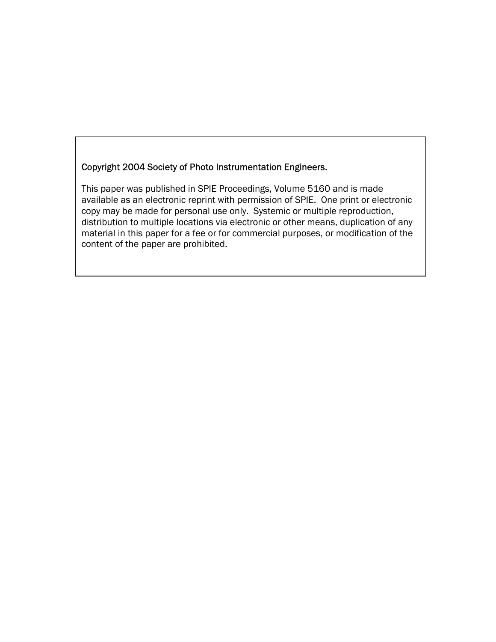## Copyright 2004 Society of Photo Instrumentation Engineers.

This paper was published in SPIE Proceedings, Volume 5160 and is made available as an electronic reprint with permission of SPIE. One print or electronic copy may be made for personal use only. Systemic or multiple reproduction, distribution to multiple locations via electronic or other means, duplication of any material in this paper for a fee or for commercial purposes, or modification of the content of the paper are prohibited.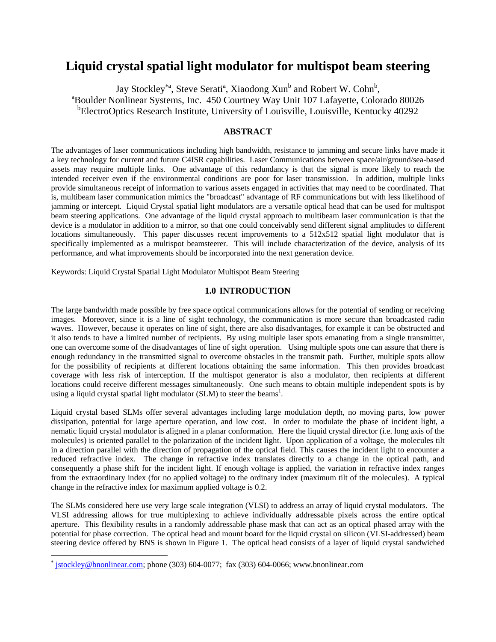# **Liquid crystal spatial light modulator for multispot beam steering**

Jay Stockley<sup>\*a</sup>, Steve Serati<sup>a</sup>, Xiaodong Xun<sup>b</sup> and Robert W. Cohn<sup>b</sup>,<br><sup>a</sup>Roulder Noplineer Systems, Inc. 450 Courtney Wey Unit 107 Lefeyatte, Color Boulder Nonlinear Systems, Inc. 450 Courtney Way Unit 107 Lafayette, Colorado 80026 <sup>b</sup>ElectroOptics Research Institute, University of Louisville, Louisville, Kentucky 40292

## **ABSTRACT**

The advantages of laser communications including high bandwidth, resistance to jamming and secure links have made it a key technology for current and future C4ISR capabilities. Laser Communications between space/air/ground/sea-based assets may require multiple links. One advantage of this redundancy is that the signal is more likely to reach the intended receiver even if the environmental conditions are poor for laser transmission. In addition, multiple links provide simultaneous receipt of information to various assets engaged in activities that may need to be coordinated. That is, multibeam laser communication mimics the "broadcast" advantage of RF communications but with less likelihood of jamming or intercept. Liquid Crystal spatial light modulators are a versatile optical head that can be used for multispot beam steering applications. One advantage of the liquid crystal approach to multibeam laser communication is that the device is a modulator in addition to a mirror, so that one could conceivably send different signal amplitudes to different locations simultaneously. This paper discusses recent improvements to a 512x512 spatial light modulator that is specifically implemented as a multispot beamsteerer. This will include characterization of the device, analysis of its performance, and what improvements should be incorporated into the next generation device.

Keywords: Liquid Crystal Spatial Light Modulator Multispot Beam Steering

#### **1.0 INTRODUCTION**

The large bandwidth made possible by free space optical communications allows for the potential of sending or receiving images. Moreover, since it is a line of sight technology, the communication is more secure than broadcasted radio waves. However, because it operates on line of sight, there are also disadvantages, for example it can be obstructed and it also tends to have a limited number of recipients. By using multiple laser spots emanating from a single transmitter, one can overcome some of the disadvantages of line of sight operation. Using multiple spots one can assure that there is enough redundancy in the transmitted signal to overcome obstacles in the transmit path. Further, multiple spots allow for the possibility of recipients at different locations obtaining the same information. This then provides broadcast coverage with less risk of interception. If the multispot generator is also a modulator, then recipients at different locations could receive different messages simultaneously. One such means to obtain multiple independent spots is by using a liquid crystal spatial light modulator (SLM) to steer the beams<sup>1</sup>.

Liquid crystal based SLMs offer several advantages including large modulation depth, no moving parts, low power dissipation, potential for large aperture operation, and low cost. In order to modulate the phase of incident light, a nematic liquid crystal modulator is aligned in a planar conformation. Here the liquid crystal director (i.e. long axis of the molecules) is oriented parallel to the polarization of the incident light. Upon application of a voltage, the molecules tilt in a direction parallel with the direction of propagation of the optical field. This causes the incident light to encounter a reduced refractive index. The change in refractive index translates directly to a change in the optical path, and consequently a phase shift for the incident light. If enough voltage is applied, the variation in refractive index ranges from the extraordinary index (for no applied voltage) to the ordinary index (maximum tilt of the molecules). A typical change in the refractive index for maximum applied voltage is 0.2.

The SLMs considered here use very large scale integration (VLSI) to address an array of liquid crystal modulators. The VLSI addressing allows for true multiplexing to achieve individually addressable pixels across the entire optical aperture. This flexibility results in a randomly addressable phase mask that can act as an optical phased array with the potential for phase correction. The optical head and mount board for the liquid crystal on silicon (VLSI-addressed) beam steering device offered by BNS is shown in Figure 1. The optical head consists of a layer of liquid crystal sandwiched

 $\overline{a}$ 

<span id="page-1-0"></span><sup>∗</sup> jstockley@bnonlinear.com; phone (303) 604-0077; fax (303) 604-0066; www.bnonlinear.com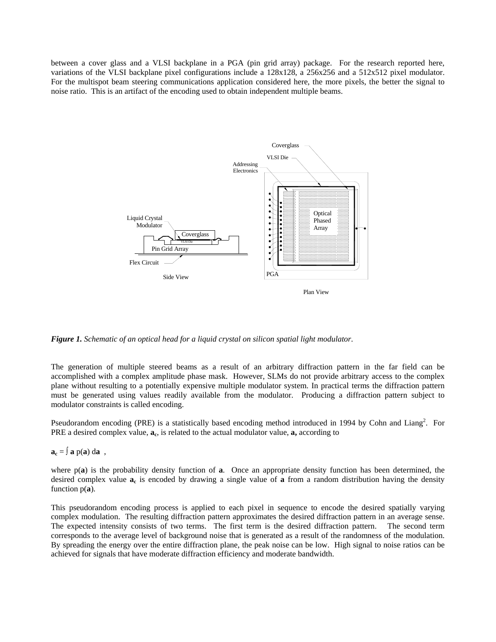between a cover glass and a VLSI backplane in a PGA (pin grid array) package. For the research reported here, variations of the VLSI backplane pixel configurations include a 128x128, a 256x256 and a 512x512 pixel modulator. For the multispot beam steering communications application considered here, the more pixels, the better the signal to noise ratio. This is an artifact of the encoding used to obtain independent multiple beams.



*Figure 1. Schematic of an optical head for a liquid crystal on silicon spatial light modulator*.

The generation of multiple steered beams as a result of an arbitrary diffraction pattern in the far field can be accomplished with a complex amplitude phase mask. However, SLMs do not provide arbitrary access to the complex plane without resulting to a potentially expensive multiple modulator system. In practical terms the diffraction pattern must be generated using values readily available from the modulator. Producing a diffraction pattern subject to modulator constraints is called encoding.

Pseudorandom encoding (PRE) is a statistically based encoding method introduced in 1994 by Cohn and Liang<sup>2</sup>. For PRE a desired complex value,  $a_c$ , is related to the actual modulator value,  $a$ , according to

 $a_c = \int a_p(a) da$ ,

where  $p(a)$  is the probability density function of **a**. Once an appropriate density function has been determined, the desired complex value **ac** is encoded by drawing a single value of **a** from a random distribution having the density function p(**a**).

This pseudorandom encoding process is applied to each pixel in sequence to encode the desired spatially varying complex modulation. The resulting diffraction pattern approximates the desired diffraction pattern in an average sense. The expected intensity consists of two terms. The first term is the desired diffraction pattern. The second term corresponds to the average level of background noise that is generated as a result of the randomness of the modulation. By spreading the energy over the entire diffraction plane, the peak noise can be low. High signal to noise ratios can be achieved for signals that have moderate diffraction efficiency and moderate bandwidth.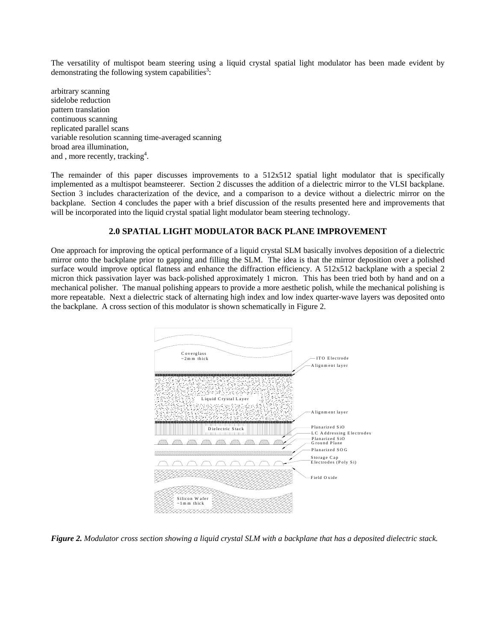The versatility of multispot beam steering using a liquid crystal spatial light modulator has been made evident by demonstrating the following system capabilities<sup>3</sup>:

arbitrary scanning sidelobe reduction pattern translation continuous scanning replicated parallel scans variable resolution scanning time-averaged scanning broad area illumination, and, more recently, tracking<sup>4</sup>.

The remainder of this paper discusses improvements to a 512x512 spatial light modulator that is specifically implemented as a multispot beamsteerer. Section 2 discusses the addition of a dielectric mirror to the VLSI backplane. Section 3 includes characterization of the device, and a comparison to a device without a dielectric mirror on the backplane. Section 4 concludes the paper with a brief discussion of the results presented here and improvements that will be incorporated into the liquid crystal spatial light modulator beam steering technology.

## **2.0 SPATIAL LIGHT MODULATOR BACK PLANE IMPROVEMENT**

One approach for improving the optical performance of a liquid crystal SLM basically involves deposition of a dielectric mirror onto the backplane prior to gapping and filling the SLM. The idea is that the mirror deposition over a polished surface would improve optical flatness and enhance the diffraction efficiency. A 512x512 backplane with a special 2 micron thick passivation layer was back-polished approximately 1 micron. This has been tried both by hand and on a mechanical polisher. The manual polishing appears to provide a more aesthetic polish, while the mechanical polishing is more repeatable. Next a dielectric stack of alternating high index and low index quarter-wave layers was deposited onto the backplane. A cross section of this modulator is shown schematically in Figure 2.



*Figure 2. Modulator cross section showing a liquid crystal SLM with a backplane that has a deposited dielectric stack.*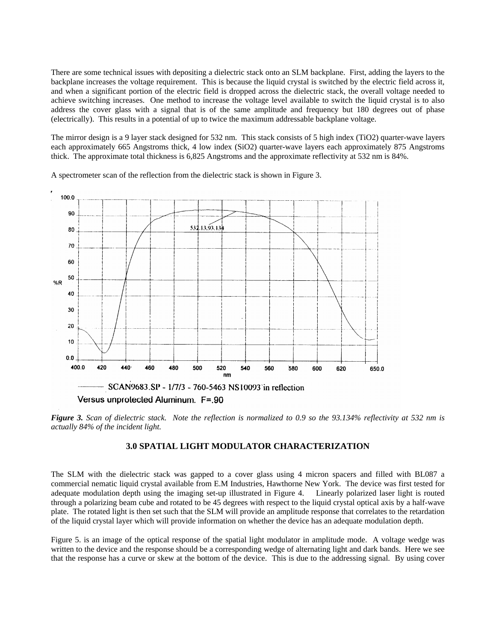There are some technical issues with depositing a dielectric stack onto an SLM backplane. First, adding the layers to the backplane increases the voltage requirement. This is because the liquid crystal is switched by the electric field across it, and when a significant portion of the electric field is dropped across the dielectric stack, the overall voltage needed to achieve switching increases. One method to increase the voltage level available to switch the liquid crystal is to also address the cover glass with a signal that is of the same amplitude and frequency but 180 degrees out of phase (electrically). This results in a potential of up to twice the maximum addressable backplane voltage.

The mirror design is a 9 layer stack designed for 532 nm. This stack consists of 5 high index (TiO2) quarter-wave layers each approximately 665 Angstroms thick, 4 low index (SiO2) quarter-wave layers each approximately 875 Angstroms thick. The approximate total thickness is 6,825 Angstroms and the approximate reflectivity at 532 nm is 84%.

A spectrometer scan of the reflection from the dielectric stack is shown in Figure 3.



*Figure 3. Scan of dielectric stack. Note the reflection is normalized to 0.9 so the 93.134% reflectivity at 532 nm is actually 84% of the incident light.* 

## **3.0 SPATIAL LIGHT MODULATOR CHARACTERIZATION**

The SLM with the dielectric stack was gapped to a cover glass using 4 micron spacers and filled with BL087 a commercial nematic liquid crystal available from E.M Industries, Hawthorne New York. The device was first tested for adequate modulation depth using the imaging set-up illustrated in Figure 4. Linearly polarized laser light is routed through a polarizing beam cube and rotated to be 45 degrees with respect to the liquid crystal optical axis by a half-wave plate. The rotated light is then set such that the SLM will provide an amplitude response that correlates to the retardation of the liquid crystal layer which will provide information on whether the device has an adequate modulation depth.

Figure 5. is an image of the optical response of the spatial light modulator in amplitude mode. A voltage wedge was written to the device and the response should be a corresponding wedge of alternating light and dark bands. Here we see that the response has a curve or skew at the bottom of the device. This is due to the addressing signal. By using cover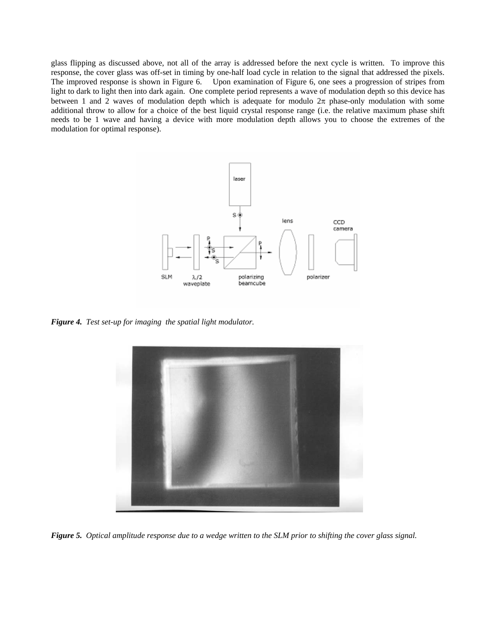glass flipping as discussed above, not all of the array is addressed before the next cycle is written. To improve this response, the cover glass was off-set in timing by one-half load cycle in relation to the signal that addressed the pixels. The improved response is shown in Figure 6. Upon examination of Figure 6, one sees a progression of stripes from light to dark to light then into dark again. One complete period represents a wave of modulation depth so this device has between 1 and 2 waves of modulation depth which is adequate for modulo  $2\pi$  phase-only modulation with some additional throw to allow for a choice of the best liquid crystal response range (i.e. the relative maximum phase shift needs to be 1 wave and having a device with more modulation depth allows you to choose the extremes of the modulation for optimal response).



*Figure 4. Test set-up for imaging the spatial light modulator.* 



*Figure 5. Optical amplitude response due to a wedge written to the SLM prior to shifting the cover glass signal.*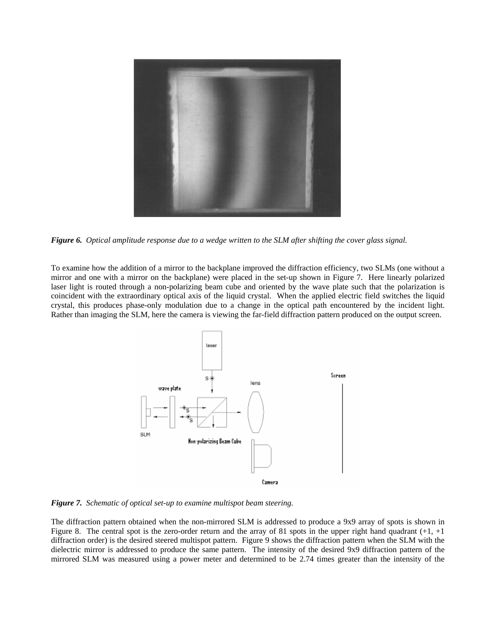

*Figure 6. Optical amplitude response due to a wedge written to the SLM after shifting the cover glass signal.*

To examine how the addition of a mirror to the backplane improved the diffraction efficiency, two SLMs (one without a mirror and one with a mirror on the backplane) were placed in the set-up shown in Figure 7. Here linearly polarized laser light is routed through a non-polarizing beam cube and oriented by the wave plate such that the polarization is coincident with the extraordinary optical axis of the liquid crystal. When the applied electric field switches the liquid crystal, this produces phase-only modulation due to a change in the optical path encountered by the incident light. Rather than imaging the SLM, here the camera is viewing the far-field diffraction pattern produced on the output screen.



*Figure 7. Schematic of optical set-up to examine multispot beam steering.* 

The diffraction pattern obtained when the non-mirrored SLM is addressed to produce a 9x9 array of spots is shown in Figure 8. The central spot is the zero-order return and the array of 81 spots in the upper right hand quadrant  $(+1, +1)$ diffraction order) is the desired steered multispot pattern. Figure 9 shows the diffraction pattern when the SLM with the dielectric mirror is addressed to produce the same pattern. The intensity of the desired 9x9 diffraction pattern of the mirrored SLM was measured using a power meter and determined to be 2.74 times greater than the intensity of the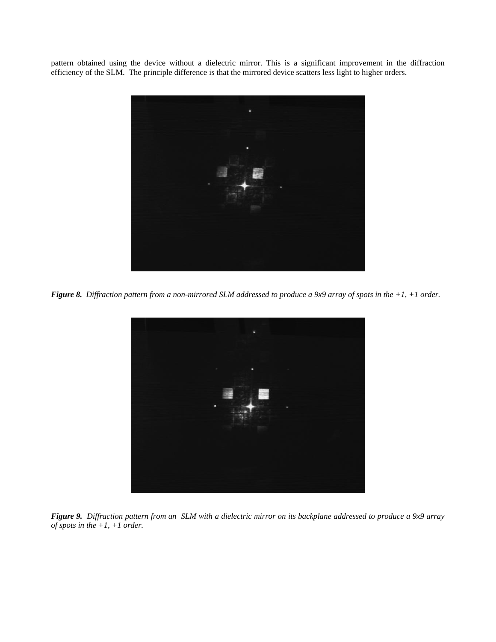pattern obtained using the device without a dielectric mirror. This is a significant improvement in the diffraction efficiency of the SLM. The principle difference is that the mirrored device scatters less light to higher orders.



*Figure 8. Diffraction pattern from a non-mirrored SLM addressed to produce a 9x9 array of spots in the +1, +1 order.* 



*Figure 9. Diffraction pattern from an SLM with a dielectric mirror on its backplane addressed to produce a 9x9 array of spots in the +1, +1 order.*